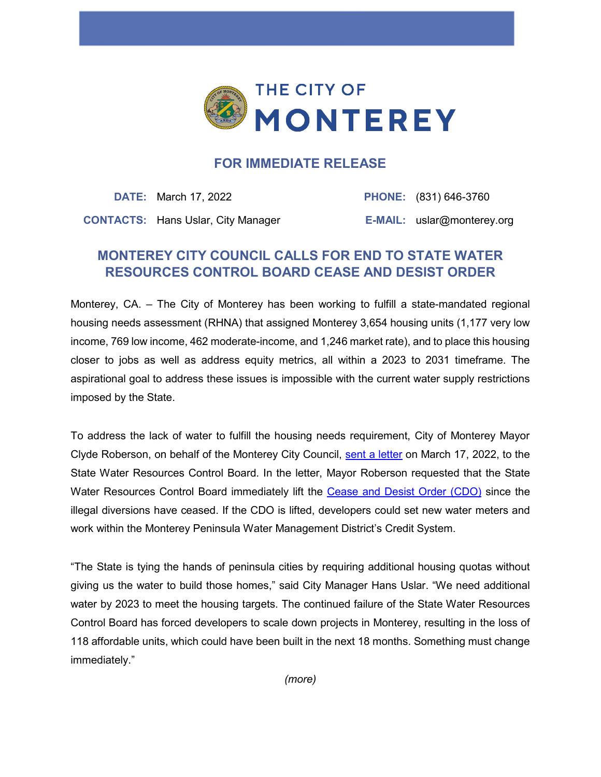

## **FOR IMMEDIATE RELEASE**

**DATE:** March 17, 2022 **PHONE:** (831) 646-3760 **CONTACTS:** Hans Uslar, City Manager **E-MAIL:** uslar@monterey.org

## **MONTEREY CITY COUNCIL CALLS FOR END TO STATE WATER RESOURCES CONTROL BOARD CEASE AND DESIST ORDER**

Monterey, CA. – The City of Monterey has been working to fulfill a state-mandated regional housing needs assessment (RHNA) that assigned Monterey 3,654 housing units (1,177 very low income, 769 low income, 462 moderate-income, and 1,246 market rate), and to place this housing closer to jobs as well as address equity metrics, all within a 2023 to 2031 timeframe. The aspirational goal to address these issues is impossible with the current water supply restrictions imposed by the State.

To address the lack of water to fulfill the housing needs requirement, City of Monterey Mayor Clyde Roberson, on behalf of the Monterey City Council, [sent a letter](https://files.monterey.org/Document%20Center/City%20Hall/City%20Council/Advocacy%20Letters/22_0317-CoMMayor-Letter-to-SWRCB.pdf) on March 17, 2022, to the State Water Resources Control Board. In the letter, Mayor Roberson requested that the State Water Resources Control Board immediately lift the [Cease and Desist Order \(CDO\)](https://www.mpwmd.net/wp-content/uploads/FinalCDOPage-1.htm) since the illegal diversions have ceased. If the CDO is lifted, developers could set new water meters and work within the Monterey Peninsula Water Management District's Credit System.

"The State is tying the hands of peninsula cities by requiring additional housing quotas without giving us the water to build those homes," said City Manager Hans Uslar. "We need additional water by 2023 to meet the housing targets. The continued failure of the State Water Resources Control Board has forced developers to scale down projects in Monterey, resulting in the loss of 118 affordable units, which could have been built in the next 18 months. Something must change immediately."

*(more)*